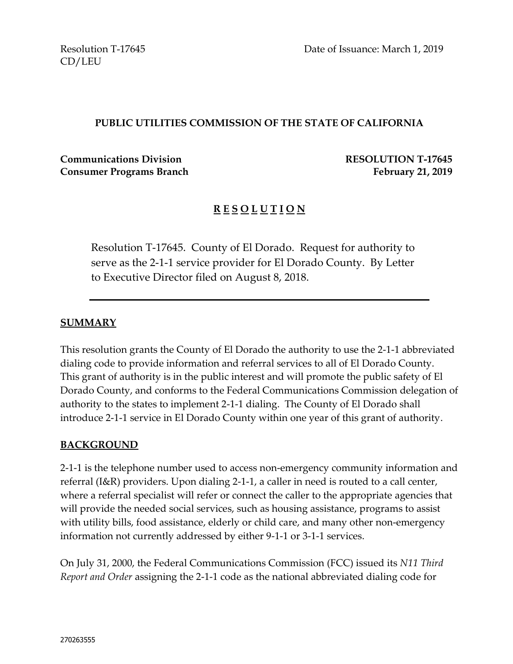CD/LEU

#### **PUBLIC UTILITIES COMMISSION OF THE STATE OF CALIFORNIA**

**Communications Division RESOLUTION T-17645 Consumer Programs Branch February** 21, 2019

## **R E S O L U T I O N**

Resolution T-17645. County of El Dorado. Request for authority to serve as the 2-1-1 service provider for El Dorado County. By Letter to Executive Director filed on August 8, 2018.

#### **SUMMARY**

This resolution grants the County of El Dorado the authority to use the 2-1-1 abbreviated dialing code to provide information and referral services to all of El Dorado County. This grant of authority is in the public interest and will promote the public safety of El Dorado County, and conforms to the Federal Communications Commission delegation of authority to the states to implement 2-1-1 dialing. The County of El Dorado shall introduce 2-1-1 service in El Dorado County within one year of this grant of authority.

#### **BACKGROUND**

2-1-1 is the telephone number used to access non-emergency community information and referral (I&R) providers. Upon dialing 2-1-1, a caller in need is routed to a call center, where a referral specialist will refer or connect the caller to the appropriate agencies that will provide the needed social services, such as housing assistance, programs to assist with utility bills, food assistance, elderly or child care, and many other non-emergency information not currently addressed by either 9-1-1 or 3-1-1 services.

On July 31, 2000, the Federal Communications Commission (FCC) issued its *N11 Third Report and Order* assigning the 2-1-1 code as the national abbreviated dialing code for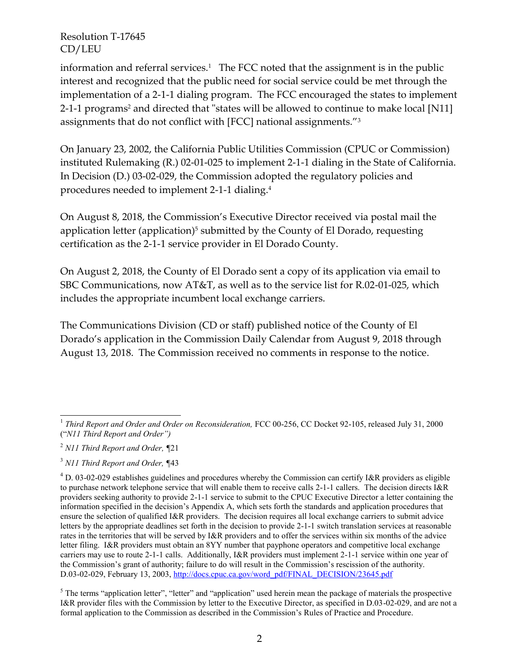information and referral services.<sup>1</sup> The FCC noted that the assignment is in the public interest and recognized that the public need for social service could be met through the implementation of a 2-1-1 dialing program. The FCC encouraged the states to implement 2-1-1 programs<sup>2</sup> and directed that "states will be allowed to continue to make local [N11] assignments that do not conflict with [FCC] national assignments." 3

On January 23, 2002, the California Public Utilities Commission (CPUC or Commission) instituted Rulemaking (R.) 02-01-025 to implement 2-1-1 dialing in the State of California. In Decision (D.) 03-02-029, the Commission adopted the regulatory policies and procedures needed to implement 2-1-1 dialing.<sup>4</sup>

On August 8, 2018, the Commission's Executive Director received via postal mail the application letter (application)<sup>5</sup> submitted by the County of El Dorado, requesting certification as the 2-1-1 service provider in El Dorado County.

On August 2, 2018, the County of El Dorado sent a copy of its application via email to SBC Communications, now AT&T, as well as to the service list for R.02-01-025, which includes the appropriate incumbent local exchange carriers.

The Communications Division (CD or staff) published notice of the County of El Dorado's application in the Commission Daily Calendar from August 9, 2018 through August 13, 2018. The Commission received no comments in response to the notice.

 $\overline{a}$ <sup>1</sup> Third Report and Order and Order on Reconsideration, FCC 00-256, CC Docket 92-105, released July 31, 2000 ("*N11 Third Report and Order")*

<sup>2</sup> *N11 Third Report and Order, ¶*21

<sup>3</sup> *N11 Third Report and Order, ¶*43

 $4$  D. 03-02-029 establishes guidelines and procedures whereby the Commission can certify I&R providers as eligible to purchase network telephone service that will enable them to receive calls 2-1-1 callers. The decision directs I&R providers seeking authority to provide 2-1-1 service to submit to the CPUC Executive Director a letter containing the information specified in the decision's Appendix A, which sets forth the standards and application procedures that ensure the selection of qualified I&R providers. The decision requires all local exchange carriers to submit advice letters by the appropriate deadlines set forth in the decision to provide 2-1-1 switch translation services at reasonable rates in the territories that will be served by I&R providers and to offer the services within six months of the advice letter filing. I&R providers must obtain an 8YY number that payphone operators and competitive local exchange carriers may use to route 2-1-1 calls. Additionally, I&R providers must implement 2-1-1 service within one year of the Commission's grant of authority; failure to do will result in the Commission's rescission of the authority. D.03-02-029, February 13, 2003, [http://docs.cpuc.ca.gov/word\\_pdf/FINAL\\_DECISION/23645.pdf](http://docs.cpuc.ca.gov/word_pdf/FINAL_DECISION/23645.pdf)

 $<sup>5</sup>$  The terms "application letter", "letter" and "application" used herein mean the package of materials the prospective</sup> I&R provider files with the Commission by letter to the Executive Director, as specified in D.03-02-029, and are not a formal application to the Commission as described in the Commission's Rules of Practice and Procedure.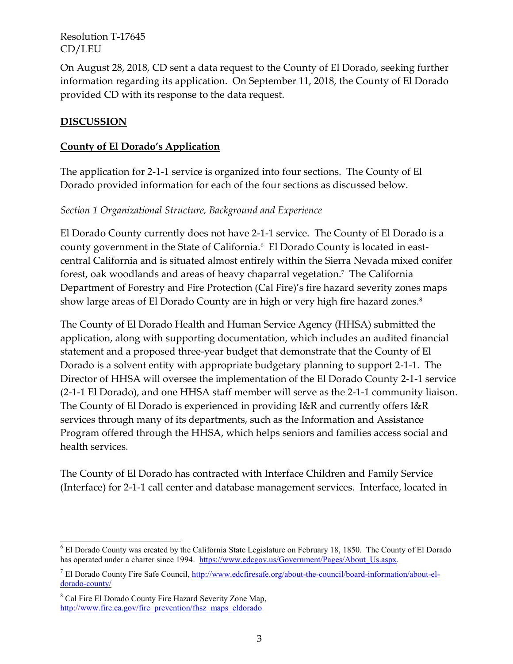On August 28, 2018, CD sent a data request to the County of El Dorado, seeking further information regarding its application. On September 11, 2018, the County of El Dorado provided CD with its response to the data request.

## **DISCUSSION**

### **County of El Dorado's Application**

The application for 2-1-1 service is organized into four sections. The County of El Dorado provided information for each of the four sections as discussed below.

### *Section 1 Organizational Structure, Background and Experience*

El Dorado County currently does not have 2-1-1 service. The County of El Dorado is a county government in the State of California.<sup>6</sup> El Dorado County is located in eastcentral California and is situated almost entirely within the Sierra Nevada mixed conifer forest, oak woodlands and areas of heavy chaparral vegetation.<sup>7</sup> The California Department of Forestry and Fire Protection (Cal Fire)'s fire hazard severity zones maps show large areas of El Dorado County are in high or very high fire hazard zones. $^8$ 

The County of El Dorado Health and Human Service Agency (HHSA) submitted the application, along with supporting documentation, which includes an audited financial statement and a proposed three-year budget that demonstrate that the County of El Dorado is a solvent entity with appropriate budgetary planning to support 2-1-1. The Director of HHSA will oversee the implementation of the El Dorado County 2-1-1 service (2-1-1 El Dorado), and one HHSA staff member will serve as the 2-1-1 community liaison. The County of El Dorado is experienced in providing I&R and currently offers I&R services through many of its departments, such as the Information and Assistance Program offered through the HHSA, which helps seniors and families access social and health services.

The County of El Dorado has contracted with Interface Children and Family Service (Interface) for 2-1-1 call center and database management services. Interface, located in

 $\overline{a}$ 

<sup>6</sup> El Dorado County was created by the California State Legislature on February 18, 1850. The County of El Dorado has operated under a charter since 1994. [https://www.edcgov.us/Government/Pages/About\\_Us.aspx.](https://www.edcgov.us/Government/Pages/About_Us.aspx)

<sup>7</sup> El Dorado County Fire Safe Council, [http://www.edcfiresafe.org/about-the-council/board-information/about-el](http://www.edcfiresafe.org/about-the-council/board-information/about-el-dorado-county/)[dorado-county/](http://www.edcfiresafe.org/about-the-council/board-information/about-el-dorado-county/)

<sup>&</sup>lt;sup>8</sup> Cal Fire El Dorado County Fire Hazard Severity Zone Map, [http://www.fire.ca.gov/fire\\_prevention/fhsz\\_maps\\_eldorado](http://www.fire.ca.gov/fire_prevention/fhsz_maps_eldorado)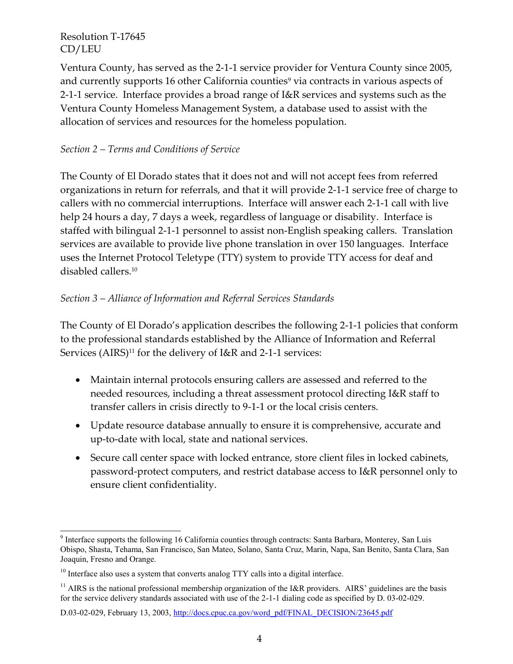$\overline{a}$ 

Ventura County, has served as the 2-1-1 service provider for Ventura County since 2005, and currently supports 16 other California counties<sup>9</sup> via contracts in various aspects of 2-1-1 service. Interface provides a broad range of I&R services and systems such as the Ventura County Homeless Management System, a database used to assist with the allocation of services and resources for the homeless population.

### *Section 2 – Terms and Conditions of Service*

The County of El Dorado states that it does not and will not accept fees from referred organizations in return for referrals, and that it will provide 2-1-1 service free of charge to callers with no commercial interruptions. Interface will answer each 2-1-1 call with live help 24 hours a day, 7 days a week, regardless of language or disability. Interface is staffed with bilingual 2-1-1 personnel to assist non-English speaking callers. Translation services are available to provide live phone translation in over 150 languages. Interface uses the Internet Protocol Teletype (TTY) system to provide TTY access for deaf and disabled callers. 10

## *Section 3 – Alliance of Information and Referral Services Standards*

The County of El Dorado's application describes the following 2-1-1 policies that conform to the professional standards established by the Alliance of Information and Referral Services (AIRS) <sup>11</sup> for the delivery of I&R and 2-1-1 services:

- Maintain internal protocols ensuring callers are assessed and referred to the needed resources, including a threat assessment protocol directing I&R staff to transfer callers in crisis directly to 9-1-1 or the local crisis centers.
- Update resource database annually to ensure it is comprehensive, accurate and up-to-date with local, state and national services.
- Secure call center space with locked entrance, store client files in locked cabinets, password-protect computers, and restrict database access to I&R personnel only to ensure client confidentiality.

<sup>&</sup>lt;sup>9</sup> Interface supports the following 16 California counties through contracts: Santa Barbara, Monterey, San Luis Obispo, Shasta, Tehama, San Francisco, San Mateo, Solano, Santa Cruz, Marin, Napa, San Benito, Santa Clara, San Joaquin, Fresno and Orange.

<sup>&</sup>lt;sup>10</sup> Interface also uses a system that converts analog TTY calls into a digital interface.

 $11$  AIRS is the national professional membership organization of the I&R providers. AIRS' guidelines are the basis for the service delivery standards associated with use of the 2-1-1 dialing code as specified by D. 03-02-029.

D.03-02-029, February 13, 2003, [http://docs.cpuc.ca.gov/word\\_pdf/FINAL\\_DECISION/23645.pdf](http://docs.cpuc.ca.gov/word_pdf/FINAL_DECISION/23645.pdf)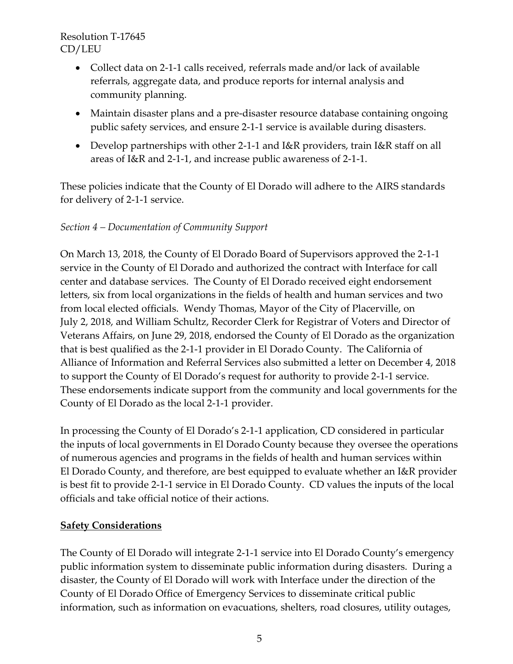- Collect data on 2-1-1 calls received, referrals made and/or lack of available referrals, aggregate data, and produce reports for internal analysis and community planning.
- Maintain disaster plans and a pre-disaster resource database containing ongoing public safety services, and ensure 2-1-1 service is available during disasters.
- Develop partnerships with other 2-1-1 and I&R providers, train I&R staff on all areas of I&R and 2-1-1, and increase public awareness of 2-1-1.

These policies indicate that the County of El Dorado will adhere to the AIRS standards for delivery of 2-1-1 service.

## *Section 4 – Documentation of Community Support*

On March 13, 2018, the County of El Dorado Board of Supervisors approved the 2-1-1 service in the County of El Dorado and authorized the contract with Interface for call center and database services. The County of El Dorado received eight endorsement letters, six from local organizations in the fields of health and human services and two from local elected officials. Wendy Thomas, Mayor of the City of Placerville, on July 2, 2018, and William Schultz, Recorder Clerk for Registrar of Voters and Director of Veterans Affairs, on June 29, 2018, endorsed the County of El Dorado as the organization that is best qualified as the 2-1-1 provider in El Dorado County. The California of Alliance of Information and Referral Services also submitted a letter on December 4, 2018 to support the County of El Dorado's request for authority to provide 2-1-1 service. These endorsements indicate support from the community and local governments for the County of El Dorado as the local 2-1-1 provider.

In processing the County of El Dorado's 2-1-1 application, CD considered in particular the inputs of local governments in El Dorado County because they oversee the operations of numerous agencies and programs in the fields of health and human services within El Dorado County, and therefore, are best equipped to evaluate whether an I&R provider is best fit to provide 2-1-1 service in El Dorado County. CD values the inputs of the local officials and take official notice of their actions.

### **Safety Considerations**

The County of El Dorado will integrate 2-1-1 service into El Dorado County's emergency public information system to disseminate public information during disasters. During a disaster, the County of El Dorado will work with Interface under the direction of the County of El Dorado Office of Emergency Services to disseminate critical public information, such as information on evacuations, shelters, road closures, utility outages,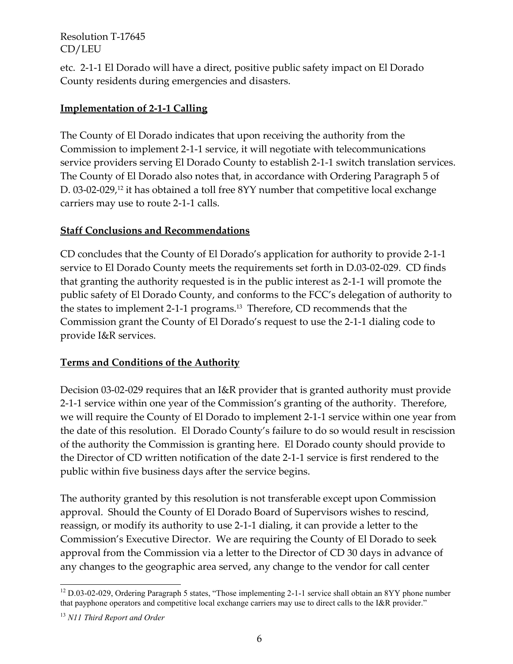etc. 2-1-1 El Dorado will have a direct, positive public safety impact on El Dorado County residents during emergencies and disasters.

# **Implementation of 2-1-1 Calling**

The County of El Dorado indicates that upon receiving the authority from the Commission to implement 2-1-1 service, it will negotiate with telecommunications service providers serving El Dorado County to establish 2-1-1 switch translation services. The County of El Dorado also notes that, in accordance with Ordering Paragraph 5 of D. 03-02-029, <sup>12</sup> it has obtained a toll free 8YY number that competitive local exchange carriers may use to route 2-1-1 calls.

# **Staff Conclusions and Recommendations**

CD concludes that the County of El Dorado's application for authority to provide 2-1-1 service to El Dorado County meets the requirements set forth in D.03-02-029. CD finds that granting the authority requested is in the public interest as 2-1-1 will promote the public safety of El Dorado County, and conforms to the FCC's delegation of authority to the states to implement 2-1-1 programs. 13 Therefore, CD recommends that the Commission grant the County of El Dorado's request to use the 2-1-1 dialing code to provide I&R services.

# **Terms and Conditions of the Authority**

Decision 03-02-029 requires that an I&R provider that is granted authority must provide 2-1-1 service within one year of the Commission's granting of the authority. Therefore, we will require the County of El Dorado to implement 2-1-1 service within one year from the date of this resolution. El Dorado County's failure to do so would result in rescission of the authority the Commission is granting here. El Dorado county should provide to the Director of CD written notification of the date 2-1-1 service is first rendered to the public within five business days after the service begins.

The authority granted by this resolution is not transferable except upon Commission approval. Should the County of El Dorado Board of Supervisors wishes to rescind, reassign, or modify its authority to use 2-1-1 dialing, it can provide a letter to the Commission's Executive Director. We are requiring the County of El Dorado to seek approval from the Commission via a letter to the Director of CD 30 days in advance of any changes to the geographic area served, any change to the vendor for call center

 $\overline{a}$ <sup>12</sup> D.03-02-029, Ordering Paragraph 5 states, "Those implementing 2-1-1 service shall obtain an 8YY phone number that payphone operators and competitive local exchange carriers may use to direct calls to the I&R provider."

<sup>13</sup> *N11 Third Report and Order*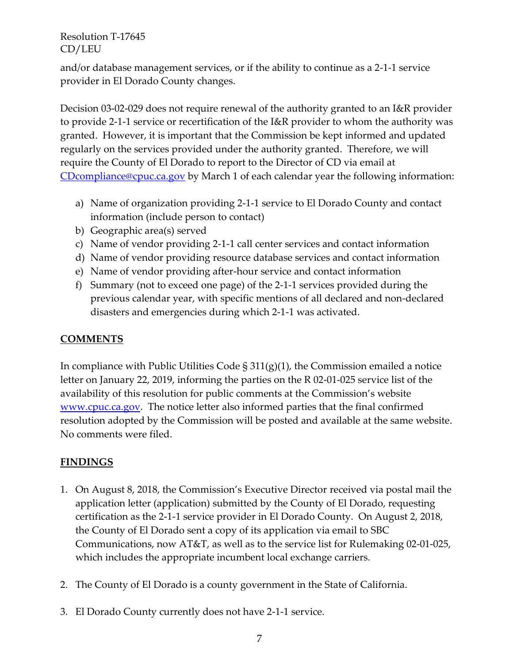and/or database management services, or if the ability to continue as a 2-1-1 service provider in El Dorado County changes.

Decision 03-02-029 does not require renewal of the authority granted to an I&R provider to provide 2-1-1 service or recertification of the I&R provider to whom the authority was granted. However, it is important that the Commission be kept informed and updated regularly on the services provided under the authority granted. Therefore, we will require the County of El Dorado to report to the Director of CD via email at [CDcompliance@cpuc.ca.gov](mailto:CDcompliance@cpuc.ca.gov) by March 1 of each calendar year the following information:

- a) Name of organization providing 2-1-1 service to El Dorado County and contact information (include person to contact)
- b) Geographic area(s) served
- c) Name of vendor providing 2-1-1 call center services and contact information
- d) Name of vendor providing resource database services and contact information
- e) Name of vendor providing after-hour service and contact information
- f) Summary (not to exceed one page) of the 2-1-1 services provided during the previous calendar year, with specific mentions of all declared and non-declared disasters and emergencies during which 2-1-1 was activated.

# **COMMENTS**

In compliance with Public Utilities Code  $\S 311(g)(1)$ , the Commission emailed a notice letter on January 22, 2019, informing the parties on the R 02-01-025 service list of the availability of this resolution for public comments at the Commission's website [www.cpuc.ca.gov.](http://www.cpuc.ca.gov/) The notice letter also informed parties that the final confirmed resolution adopted by the Commission will be posted and available at the same website. No comments were filed.

### **FINDINGS**

- 1. On August 8, 2018, the Commission's Executive Director received via postal mail the application letter (application) submitted by the County of El Dorado, requesting certification as the 2-1-1 service provider in El Dorado County. On August 2, 2018, the County of El Dorado sent a copy of its application via email to SBC Communications, now AT&T, as well as to the service list for Rulemaking 02-01-025, which includes the appropriate incumbent local exchange carriers.
- 2. The County of El Dorado is a county government in the State of California.
- 3. El Dorado County currently does not have 2-1-1 service.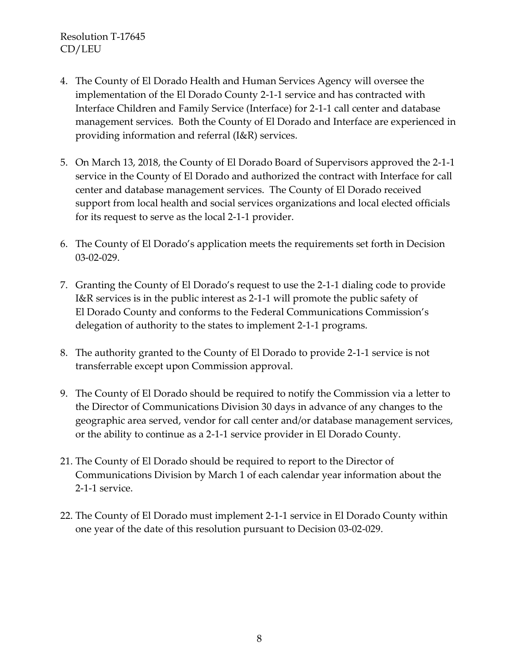- 4. The County of El Dorado Health and Human Services Agency will oversee the implementation of the El Dorado County 2-1-1 service and has contracted with Interface Children and Family Service (Interface) for 2-1-1 call center and database management services. Both the County of El Dorado and Interface are experienced in providing information and referral (I&R) services.
- 5. On March 13, 2018, the County of El Dorado Board of Supervisors approved the 2-1-1 service in the County of El Dorado and authorized the contract with Interface for call center and database management services. The County of El Dorado received support from local health and social services organizations and local elected officials for its request to serve as the local 2-1-1 provider.
- 6. The County of El Dorado's application meets the requirements set forth in Decision 03-02-029.
- 7. Granting the County of El Dorado's request to use the 2-1-1 dialing code to provide I&R services is in the public interest as 2-1-1 will promote the public safety of El Dorado County and conforms to the Federal Communications Commission's delegation of authority to the states to implement 2-1-1 programs.
- 8. The authority granted to the County of El Dorado to provide 2-1-1 service is not transferrable except upon Commission approval.
- 9. The County of El Dorado should be required to notify the Commission via a letter to the Director of Communications Division 30 days in advance of any changes to the geographic area served, vendor for call center and/or database management services, or the ability to continue as a 2-1-1 service provider in El Dorado County.
- 21. The County of El Dorado should be required to report to the Director of Communications Division by March 1 of each calendar year information about the 2-1-1 service.
- 22. The County of El Dorado must implement 2-1-1 service in El Dorado County within one year of the date of this resolution pursuant to Decision 03-02-029.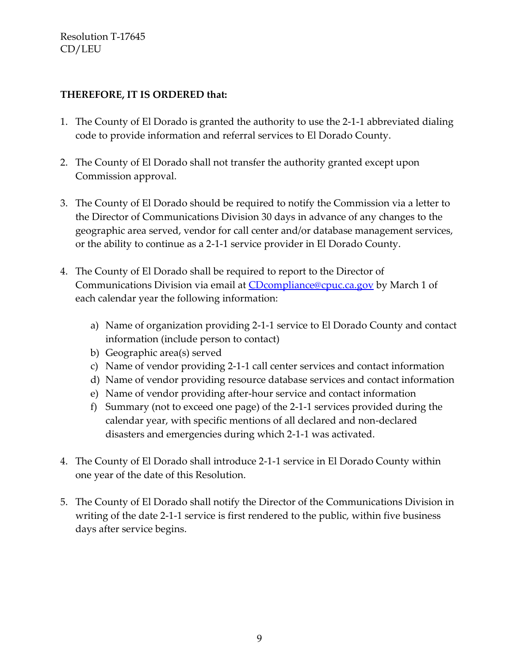### **THEREFORE, IT IS ORDERED that:**

- 1. The County of El Dorado is granted the authority to use the 2-1-1 abbreviated dialing code to provide information and referral services to El Dorado County.
- 2. The County of El Dorado shall not transfer the authority granted except upon Commission approval.
- 3. The County of El Dorado should be required to notify the Commission via a letter to the Director of Communications Division 30 days in advance of any changes to the geographic area served, vendor for call center and/or database management services, or the ability to continue as a 2-1-1 service provider in El Dorado County.
- 4. The County of El Dorado shall be required to report to the Director of Communications Division via email at [CDcompliance@cpuc.ca.gov](mailto:CDcompliance@cpuc.ca.gov) by March 1 of each calendar year the following information:
	- a) Name of organization providing 2-1-1 service to El Dorado County and contact information (include person to contact)
	- b) Geographic area(s) served
	- c) Name of vendor providing 2-1-1 call center services and contact information
	- d) Name of vendor providing resource database services and contact information
	- e) Name of vendor providing after-hour service and contact information
	- f) Summary (not to exceed one page) of the 2-1-1 services provided during the calendar year, with specific mentions of all declared and non-declared disasters and emergencies during which 2-1-1 was activated.
- 4. The County of El Dorado shall introduce 2-1-1 service in El Dorado County within one year of the date of this Resolution.
- 5. The County of El Dorado shall notify the Director of the Communications Division in writing of the date 2-1-1 service is first rendered to the public, within five business days after service begins.